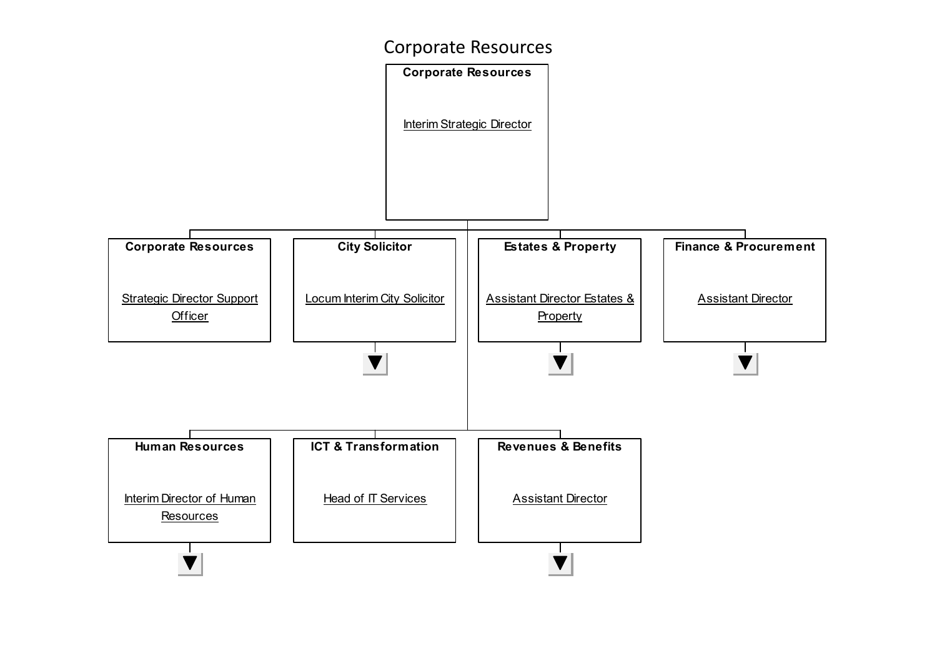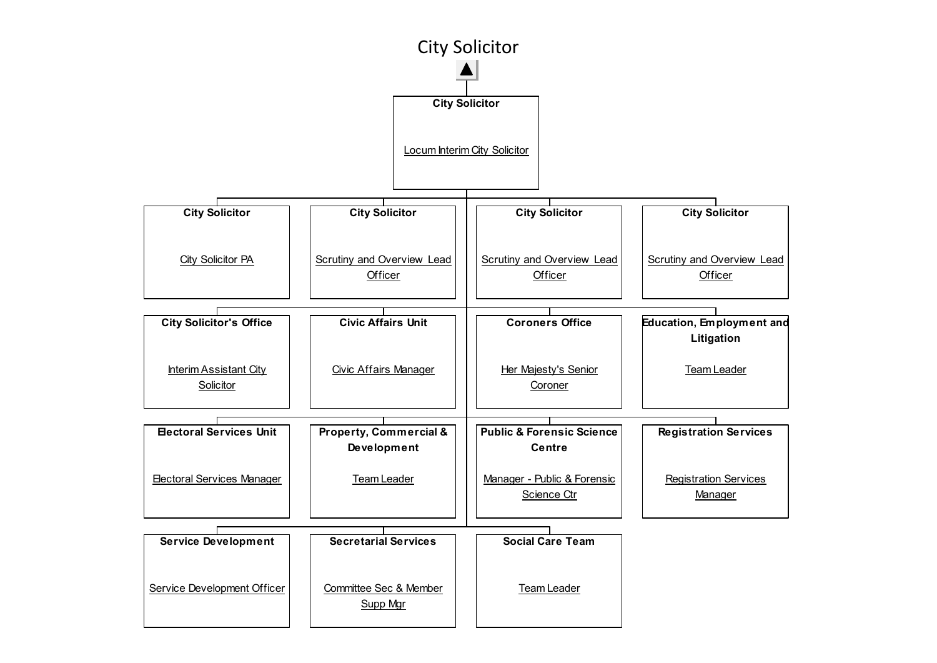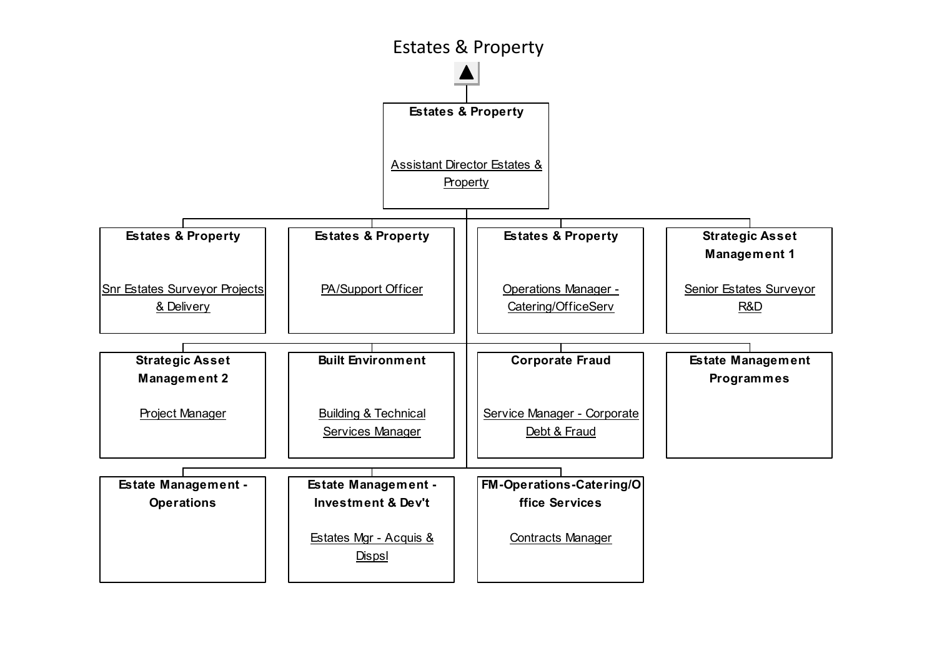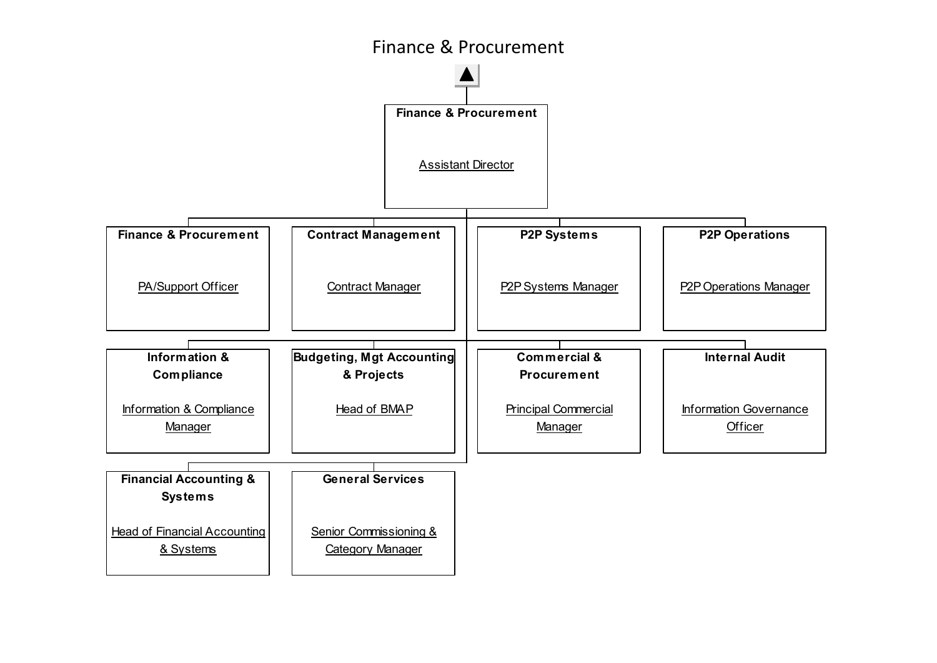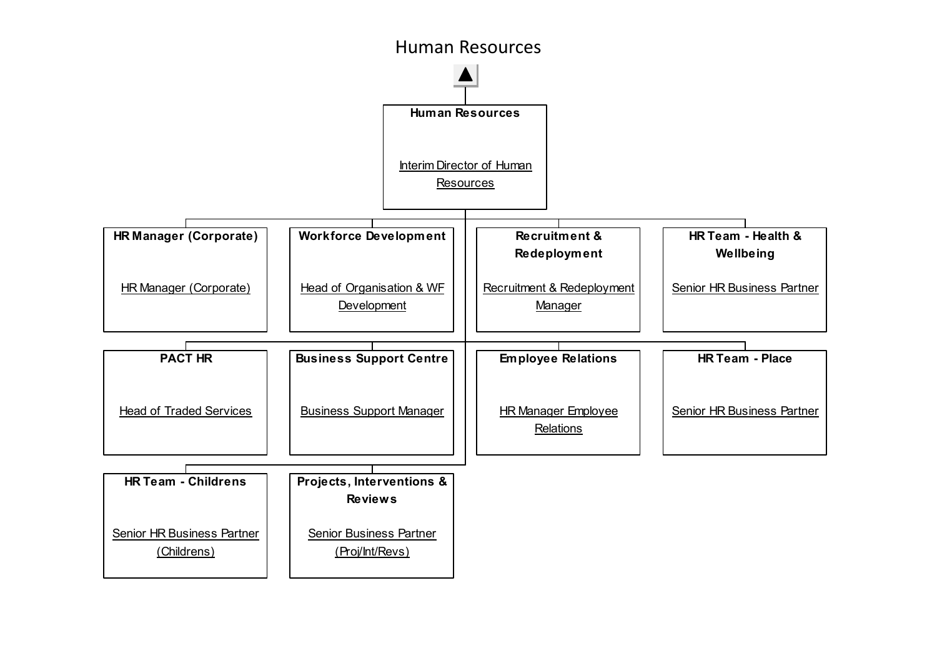